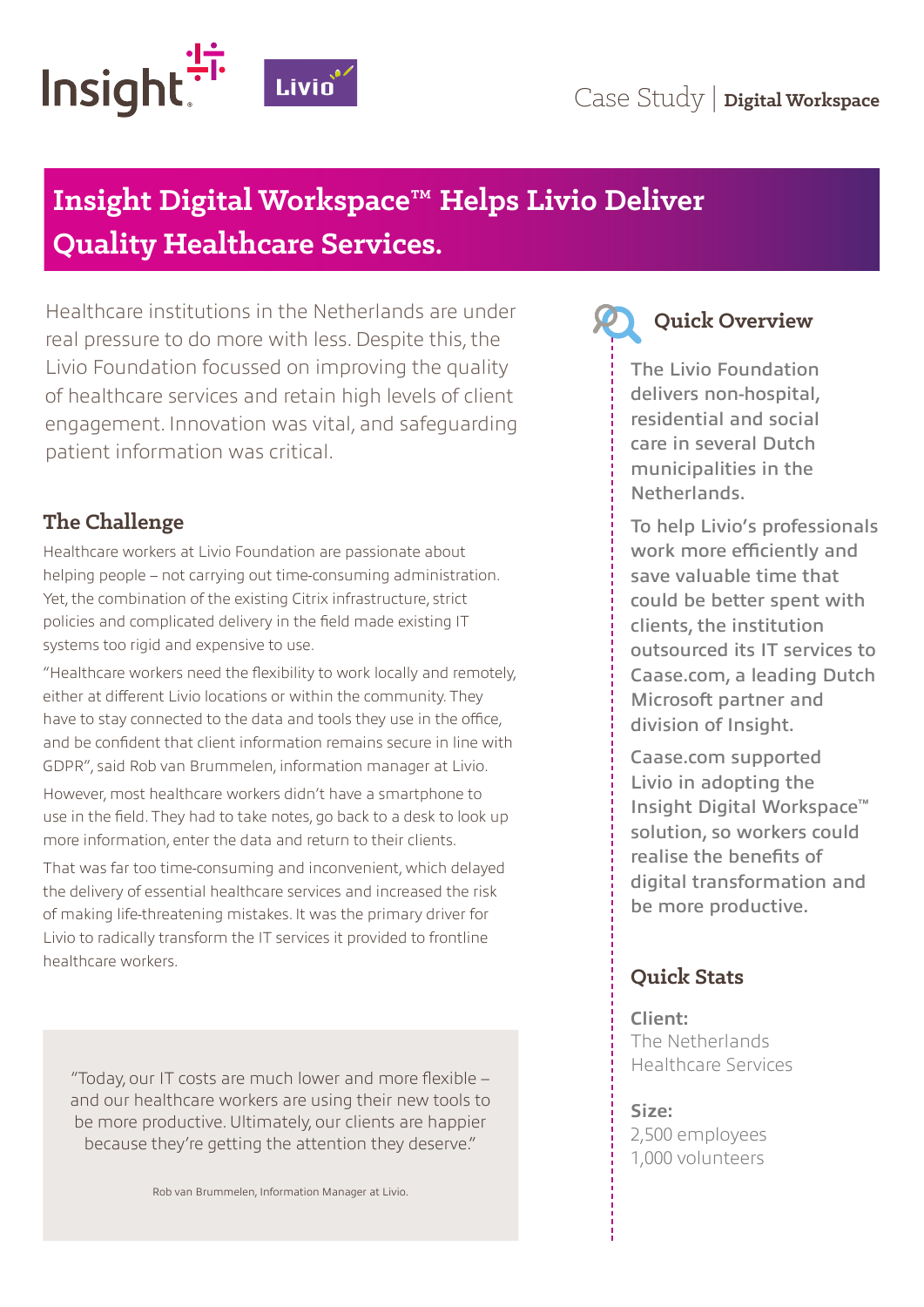

# **Insight Digital Workspace™ Helps Livio Deliver Quality Healthcare Services.**

Healthcare institutions in the Netherlands are under real pressure to do more with less. Despite this, the Livio Foundation focussed on improving the quality of healthcare services and retain high levels of client engagement. Innovation was vital, and safeguarding patient information was critical.

# **The Challenge**

Healthcare workers at Livio Foundation are passionate about helping people – not carrying out time-consuming administration. Yet, the combination of the existing Citrix infrastructure, strict policies and complicated delivery in the field made existing IT systems too rigid and expensive to use.

"Healthcare workers need the flexibility to work locally and remotely, either at different Livio locations or within the community. They have to stay connected to the data and tools they use in the office, and be confident that client information remains secure in line with GDPR", said Rob van Brummelen, information manager at Livio.

However, most healthcare workers didn't have a smartphone to use in the field. They had to take notes, go back to a desk to look up more information, enter the data and return to their clients.

That was far too time-consuming and inconvenient, which delayed the delivery of essential healthcare services and increased the risk of making life-threatening mistakes. It was the primary driver for Livio to radically transform the IT services it provided to frontline healthcare workers.

"Today, our IT costs are much lower and more flexible – and our healthcare workers are using their new tools to be more productive. Ultimately, our clients are happier because they're getting the attention they deserve."



# **Quick Overview**

The Livio Foundation delivers non-hospital, residential and social care in several Dutch municipalities in the Netherlands.

To help Livio's professionals work more efficiently and save valuable time that could be better spent with clients, the institution outsourced its IT services to Caase.com, a leading Dutch Microsoft partner and division of Insight.

Caase.com supported Livio in adopting the Insight Digital Workspace™ solution, so workers could realise the benefits of digital transformation and be more productive.

# **Quick Stats**

**Client:**  The Netherlands Healthcare Services

#### **Size:**

2,500 employees 1,000 volunteers